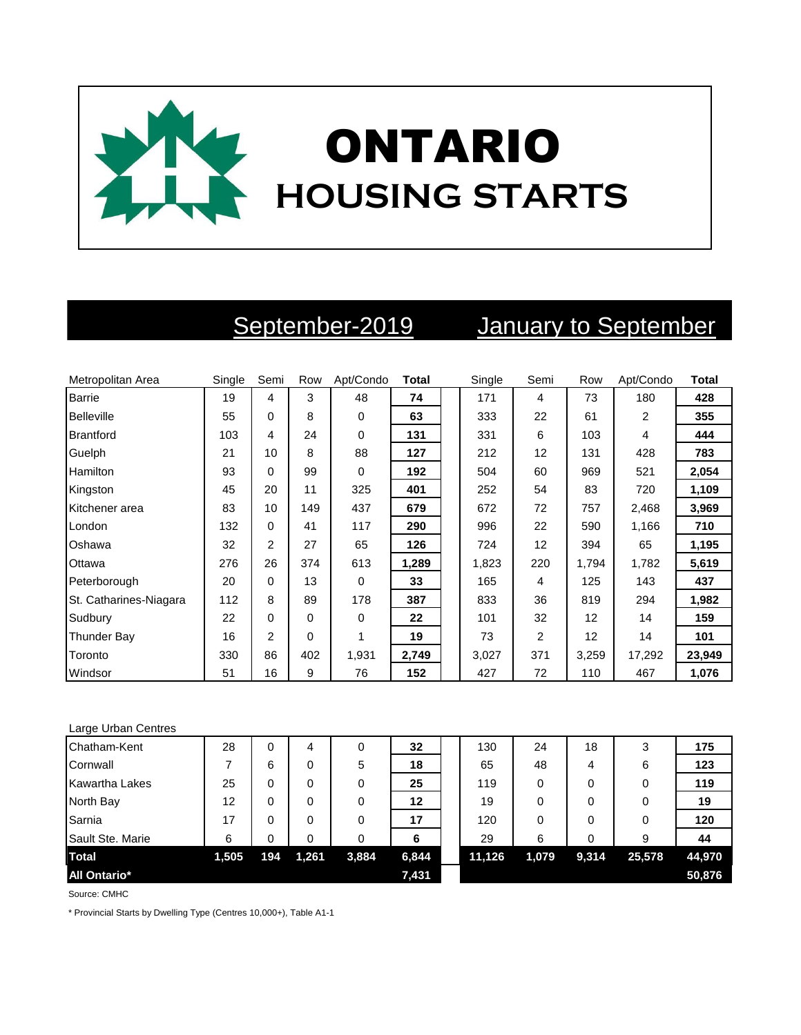

# September-2019 January to September

| Metropolitan Area      | Single | Semi           | Row      | Apt/Condo | <b>Total</b> | Single | Semi | Row   | Apt/Condo | <b>Total</b> |
|------------------------|--------|----------------|----------|-----------|--------------|--------|------|-------|-----------|--------------|
| <b>Barrie</b>          | 19     | 4              | 3        | 48        | 74           | 171    | 4    | 73    | 180       | 428          |
| <b>Belleville</b>      | 55     | 0              | 8        | 0         | 63           | 333    | 22   | 61    | 2         | 355          |
| <b>Brantford</b>       | 103    | 4              | 24       | $\Omega$  | 131          | 331    | 6    | 103   | 4         | 444          |
| Guelph                 | 21     | 10             | 8        | 88        | 127          | 212    | 12   | 131   | 428       | 783          |
| <b>Hamilton</b>        | 93     | 0              | 99       | 0         | 192          | 504    | 60   | 969   | 521       | 2,054        |
| Kingston               | 45     | 20             | 11       | 325       | 401          | 252    | 54   | 83    | 720       | 1,109        |
| Kitchener area         | 83     | 10             | 149      | 437       | 679          | 672    | 72   | 757   | 2,468     | 3,969        |
| London                 | 132    | $\Omega$       | 41       | 117       | 290          | 996    | 22   | 590   | 1,166     | 710          |
| Oshawa                 | 32     | $\mathfrak{p}$ | 27       | 65        | 126          | 724    | 12   | 394   | 65        | 1,195        |
| Ottawa                 | 276    | 26             | 374      | 613       | 1,289        | 1,823  | 220  | 1,794 | 1,782     | 5,619        |
| Peterborough           | 20     | 0              | 13       | 0         | 33           | 165    | 4    | 125   | 143       | 437          |
| St. Catharines-Niagara | 112    | 8              | 89       | 178       | 387          | 833    | 36   | 819   | 294       | 1,982        |
| Sudbury                | 22     | 0              | $\Omega$ | 0         | 22           | 101    | 32   | 12    | 14        | 159          |
| <b>Thunder Bay</b>     | 16     | $\overline{2}$ | $\Omega$ |           | 19           | 73     | 2    | 12    | 14        | 101          |
| Toronto                | 330    | 86             | 402      | 1,931     | 2,749        | 3,027  | 371  | 3,259 | 17,292    | 23,949       |
| Windsor                | 51     | 16             | 9        | 76        | 152          | 427    | 72   | 110   | 467       | 1,076        |

### Large Urban Centres

| Chatham-Kent          | 28    | 0   | 4     | 0     | 32    | 130    | 24    | 18    | 3      | 175    |
|-----------------------|-------|-----|-------|-------|-------|--------|-------|-------|--------|--------|
| Cornwall              |       | 6   | 0     | 5     | 18    | 65     | 48    | 4     | 6      | 123    |
| <b>Kawartha Lakes</b> | 25    | 0   | 0     | 0     | 25    | 119    | 0     |       | 0      | 119    |
| North Bay             | 12    |     | 0     | 0     | 12    | 19     | 0     |       | 0      | 19     |
| Sarnia                | 17    |     | 0     | 0     | 17    | 120    | 0     |       | 0      | 120    |
| Sault Ste. Marie      | 6     |     | 0     | 0     | 6     | 29     | 6     |       | 9      | 44     |
| <b>Total</b>          | 1,505 | 194 | 1,261 | 3,884 | 6,844 | 11,126 | 1,079 | 9,314 | 25,578 | 44,970 |
| <b>All Ontario*</b>   |       |     |       |       | 7,431 |        |       |       |        | 50,876 |

Source: CMHC

\* Provincial Starts by Dwelling Type (Centres 10,000+), Table A1-1